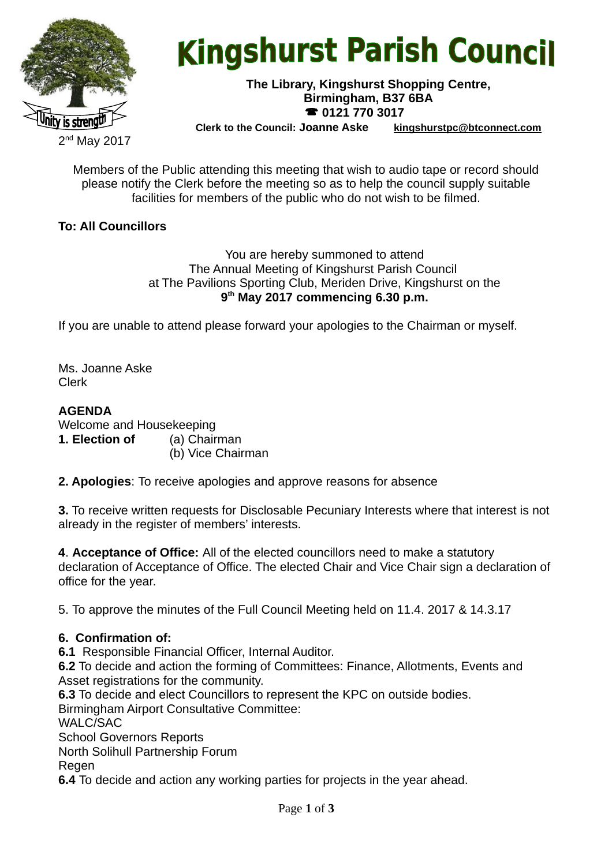

# **Kingshurst Parish Council**

#### **The Library, Kingshurst Shopping Centre, Birmingham, B37 6BA 0121 770 3017**

**Clerk to the Council: Joanne Aske [kingshurstpc@btconnect.com](mailto:kingshurstpc@btconnect.com)**

Members of the Public attending this meeting that wish to audio tape or record should please notify the Clerk before the meeting so as to help the council supply suitable facilities for members of the public who do not wish to be filmed.

# **To: All Councillors**

You are hereby summoned to attend The Annual Meeting of Kingshurst Parish Council at The Pavilions Sporting Club, Meriden Drive, Kingshurst on the **9 th May 2017 commencing 6.30 p.m.**

If you are unable to attend please forward your apologies to the Chairman or myself.

Ms. Joanne Aske Clerk

# **AGENDA**

Welcome and Housekeeping **1. Election of** (a) Chairman (b) Vice Chairman

**2. Apologies**: To receive apologies and approve reasons for absence

**3.** To receive written requests for Disclosable Pecuniary Interests where that interest is not already in the register of members' interests.

**4**. **Acceptance of Office:** All of the elected councillors need to make a statutory declaration of Acceptance of Office. The elected Chair and Vice Chair sign a declaration of office for the year.

5. To approve the minutes of the Full Council Meeting held on 11.4. 2017 & 14.3.17

# **6. Confirmation of:**

**6.1** Responsible Financial Officer, Internal Auditor.

**6.2** To decide and action the forming of Committees: Finance, Allotments, Events and Asset registrations for the community.

**6.3** To decide and elect Councillors to represent the KPC on outside bodies. Birmingham Airport Consultative Committee:

WALC/SAC

School Governors Reports

North Solihull Partnership Forum

Regen

**6.4** To decide and action any working parties for projects in the year ahead.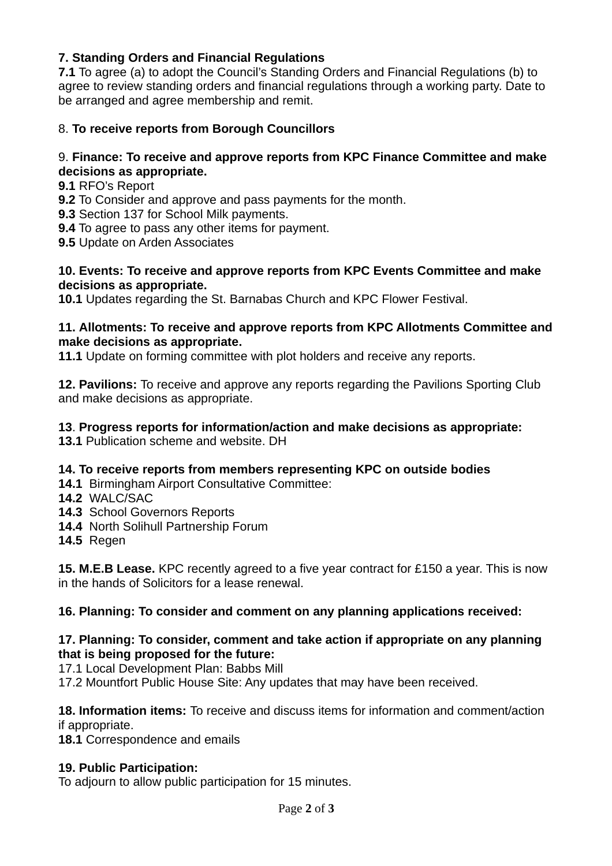# **7. Standing Orders and Financial Regulations**

**7.1** To agree (a) to adopt the Council's Standing Orders and Financial Regulations (b) to agree to review standing orders and financial regulations through a working party. Date to be arranged and agree membership and remit.

## 8. **To receive reports from Borough Councillors**

## 9. **Finance: To receive and approve reports from KPC Finance Committee and make decisions as appropriate.**

- **9.1** RFO's Report
- **9.2** To Consider and approve and pass payments for the month.

**9.3** Section 137 for School Milk payments.

- **9.4** To agree to pass any other items for payment.
- **9.5** Update on Arden Associates

#### **10. Events: To receive and approve reports from KPC Events Committee and make decisions as appropriate.**

**10.1** Updates regarding the St. Barnabas Church and KPC Flower Festival.

#### **11. Allotments: To receive and approve reports from KPC Allotments Committee and make decisions as appropriate.**

**11.1** Update on forming committee with plot holders and receive any reports.

**12. Pavilions:** To receive and approve any reports regarding the Pavilions Sporting Club and make decisions as appropriate.

#### **13**. **Progress reports for information/action and make decisions as appropriate:**

**13.1** Publication scheme and website. DH

## **14. To receive reports from members representing KPC on outside bodies**

- **14.1** Birmingham Airport Consultative Committee:
- **14.2** WALC/SAC
- **14.3** School Governors Reports
- **14.4** North Solihull Partnership Forum
- **14.5** Regen

**15. M.E.B Lease.** KPC recently agreed to a five year contract for £150 a year. This is now in the hands of Solicitors for a lease renewal.

#### **16. Planning: To consider and comment on any planning applications received:**

## **17. Planning: To consider, comment and take action if appropriate on any planning that is being proposed for the future:**

17.1 Local Development Plan: Babbs Mill

17.2 Mountfort Public House Site: Any updates that may have been received.

**18. Information items:** To receive and discuss items for information and comment/action if appropriate.

**18.1** Correspondence and emails

# **19. Public Participation:**

To adjourn to allow public participation for 15 minutes.